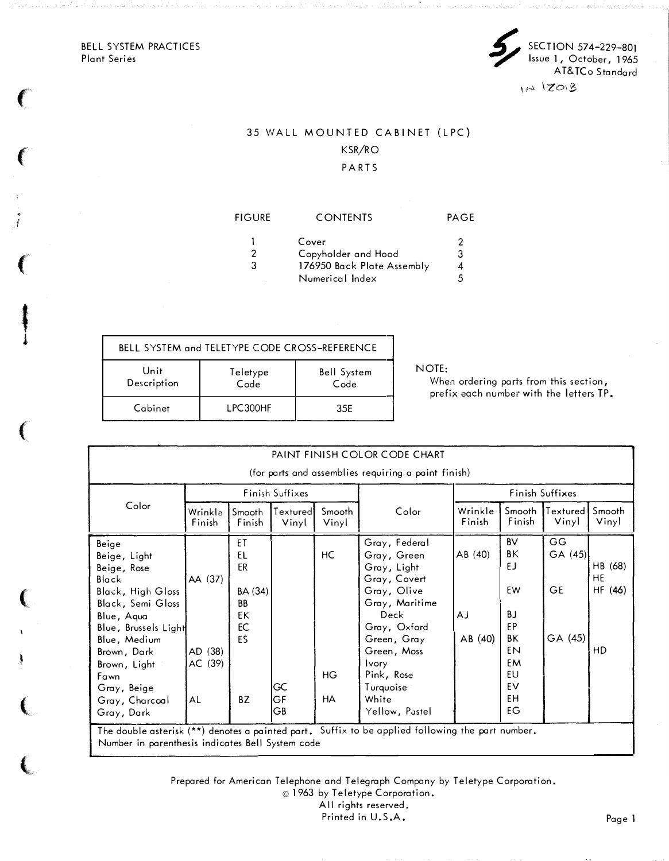BELL SYSTEM PRACTICES Plant Series

 $\left($ 

 $\epsilon$ 

 $\left($ 

 $\mathfrak{g}$ 

t i

(

 $\big($ 

 $\ddot{\phantom{a}}$ 

(

,



## 35 WALL MOUNTED CABINET (LPC) KSR/RO

PARTS

# FIGURE CONTENTS PAGE 1 Cover 2<br>2 Copyholder and Hood 3 2 Copyholder and Hood 3<br>3 176950 Back Plate Assembly 4 176950 Back Plate Assembly 4<br>Numerical Index 5 Numerical Index 5

| BELL SYSTEM and TELETYPE CODE CROSS-REFERENCE |                  |                            |                      |
|-----------------------------------------------|------------------|----------------------------|----------------------|
| Unit<br>Description                           | Teletype<br>Code | <b>Bell System</b><br>Code | NOTE:<br>Whe<br>pref |
| Cabinet                                       | LPC300HF         | 35E                        |                      |

When ordering parts from this section, prefix each number with the letters TP.

| PAINT FINISH COLOR CODE CHART<br>(for parts and assemblies requiring a paint finish)                                                                                                                                                       |                                     |                                                                       |                   |                              |                                                                                                                                                                                                                          |                        |                                                                                   |                                       |                               |
|--------------------------------------------------------------------------------------------------------------------------------------------------------------------------------------------------------------------------------------------|-------------------------------------|-----------------------------------------------------------------------|-------------------|------------------------------|--------------------------------------------------------------------------------------------------------------------------------------------------------------------------------------------------------------------------|------------------------|-----------------------------------------------------------------------------------|---------------------------------------|-------------------------------|
|                                                                                                                                                                                                                                            | Finish Suffixes                     |                                                                       |                   |                              |                                                                                                                                                                                                                          | Finish Suffixes        |                                                                                   |                                       |                               |
| Color                                                                                                                                                                                                                                      | Wrinkle<br>Finish                   | Smooth<br>Finish                                                      | Textured<br>Vinyl | Smooth<br>Vinyl              | Color                                                                                                                                                                                                                    | Wrinkle<br>Finish      | Smooth<br>Finish                                                                  | Textured<br>Vinyl                     | Smooth<br>Vinyl               |
| Beige<br>Beige, Light<br>Beige, Rose<br>Black<br><b>Black, High Gloss</b><br>Black, Semi Gloss<br>Blue, Aqua<br>Blue, Brussels Light<br>Blue, Medium<br>Brown, Dark<br>Brown, Light<br>Fawn<br>Gray, Beige<br>Gray, Charcoal<br>Gray, Dark | AA (37)<br>AD (38)<br>AC (39)<br>AL | ET<br>EL<br>ER<br>BA (34)<br><b>BB</b><br>EK<br>EC<br><b>FS</b><br>BZ | GC<br>GF<br>GΒ    | HC<br><b>HG</b><br><b>HA</b> | Gray, Federal<br>Gray, Green<br>Gray, Light<br>Gray, Covert<br>Gray, Olive<br>Gray, Maritime<br>Deck<br>Gray, Oxford<br>Green, Gray<br>Green, Moss<br><b>Ivory</b><br>Pink, Rose<br>Turquoise<br>White<br>Yellow, Pastel | AB(40)<br>АJ<br>AB(40) | <b>BV</b><br>ΒK<br>EJ<br>EW<br>BJ<br>EP<br>ΒK<br>EN<br>EM<br>EU<br>EV<br>FH<br>EG | GG<br>GA (45)<br><b>GE</b><br>GA (45) | HB (68)<br>HE<br>HF(46)<br>HD |

Prepared for American Telephone and Telegraph Company by Teletype Corporation.

© 1963 by Teletype Corporation.

All rights reserved. Printed in U.S.A.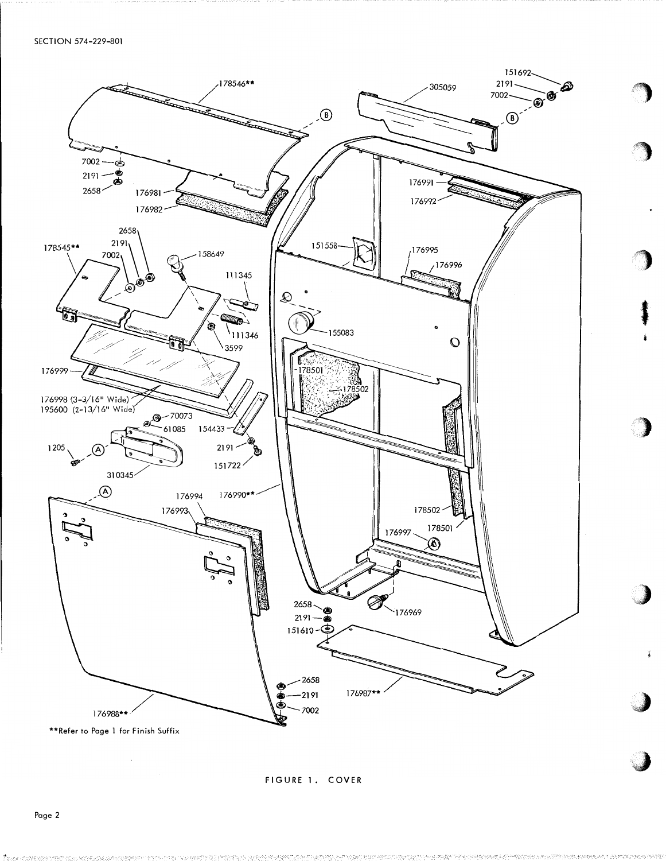

FIGURE 1. COVER

ķ.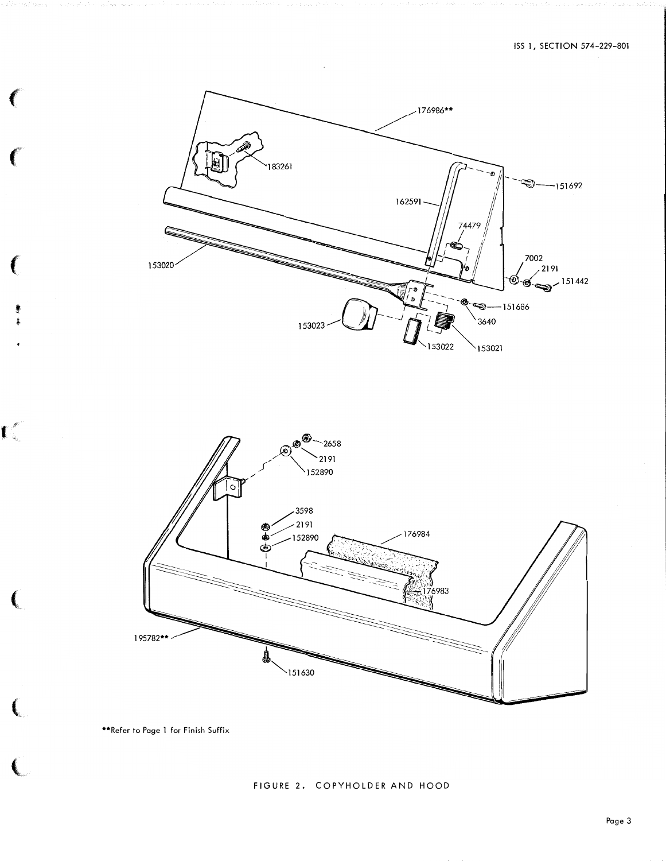



\*\*Refer to Page 1 for Finish Suffix

€

€

 $\mathbf{C}^{\ell}$ 

 $\left($ 

 $\left(\right)$ 

€

### FIGURE 2. COPYHOLDER AND HOOD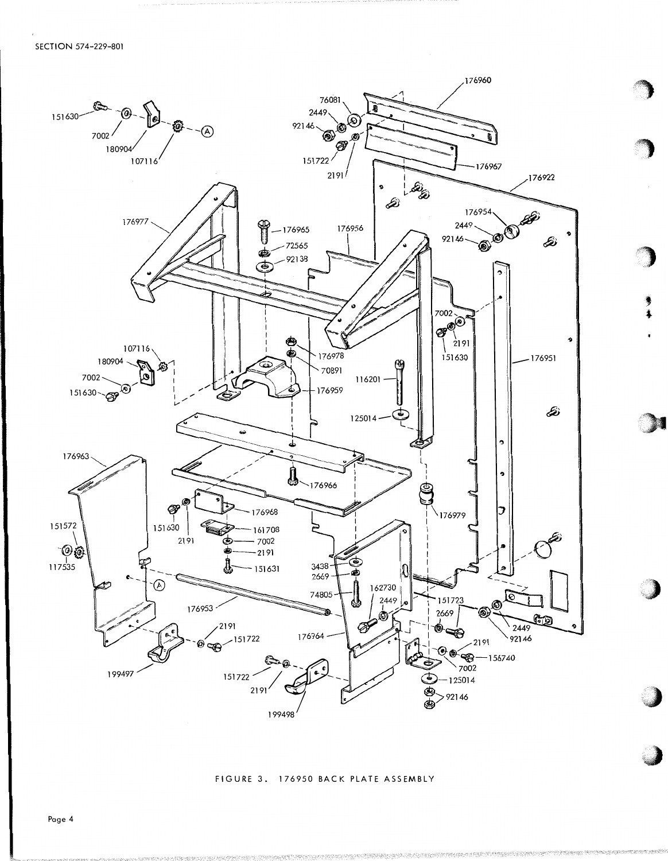

FIGURE 3. 176950 BACK PLATE ASSEMBLY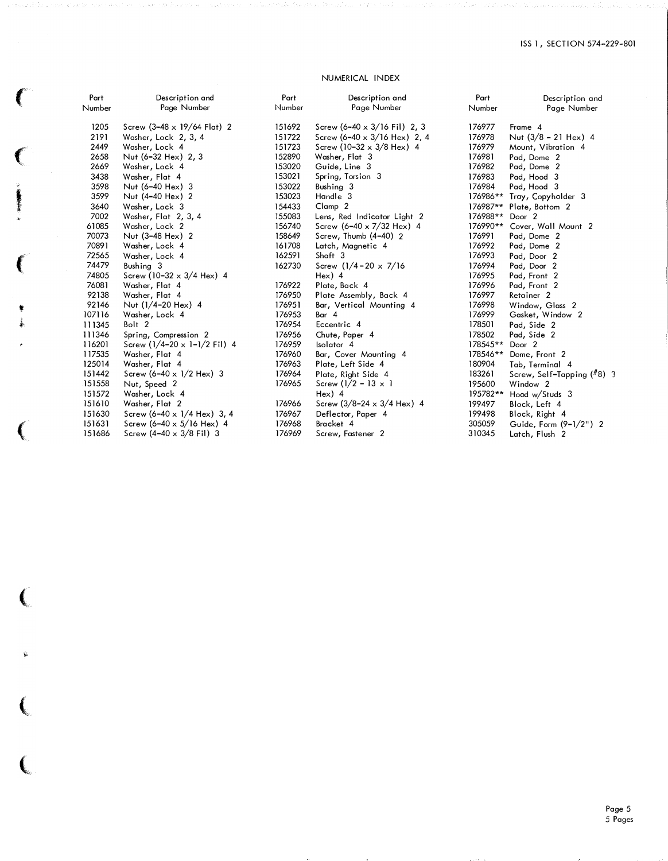### NUMERICAL INDEX

 $\left($ 

 $\overline{\mathbf{C}}$ 

the age of the second con-

("

t �

 $\left($ 

151686

Screw (4-40 x 3/8 Fil) 3

(

..

 $\epsilon$ 

 $\overline{\mathbf{C}}$ 

| Part   | Description and                            | Part   | Description and                             | Part     | Description and              |
|--------|--------------------------------------------|--------|---------------------------------------------|----------|------------------------------|
| Number | Page Number                                | Number | Page Number                                 | Number   | Page Number                  |
| 1205   | Screw $(3-48 \times 19/64 \text{ Flat})$ 2 | 151692 | Screw $(6-40 \times 3/16 \text{ Fil})$ 2, 3 | 176977   | Frame 4                      |
| 2191   | Washer, Lock 2, 3, 4                       | 151722 | Screw (6-40 x $3/16$ Hex) 2, 4              | 176978   | Nut $(3/8 - 21$ Hex) 4       |
| 2449   | Washer, Lock 4                             | 151723 | Screw (10-32 $\times$ 3/8 Hex) 4            | 176979   | Mount, Vibration 4           |
| 2658   | Nut (6-32 Hex) 2, 3                        | 152890 | Washer, Flat 3                              | 176981   | Pad, Dome 2                  |
| 2669   | Washer, Lock 4                             | 153020 | Guide, Line 3                               | 176982   | Pad, Dome 2                  |
| 3438   | Washer, Flat 4                             | 153021 | Spring, Torsion 3                           | 176983   | Pad, Hood 3                  |
| 3598   | Nut (6-40 Hex) 3                           | 153022 | Bushing 3                                   | 176984   | Pad, Hood 3                  |
| 3599   | Nut (4-40 Hex) 2                           | 153023 | Handle 3                                    | 176986** | Tray, Copyholder 3           |
| 3640   | Washer, Lock 3                             | 154433 | Clamp <sub>2</sub>                          | 176987** | Plate, Bottom 2              |
| 7002   | Washer, Flat 2, 3, 4                       | 155083 | Lens, Red Indicator Light 2                 | 176988** | Door <sub>2</sub>            |
| 61085  | Washer, Lock 2                             | 156740 | Screw $(6-40 \times 7/32$ Hex) 4            | 176990** | Cover, Wall Mount 2          |
| 70073  | Nut (3-48 Hex) 2                           | 158649 | Screw, Thumb (4-40) 2                       | 176991   | Pad, Dome 2                  |
| 70891  | Washer, Lock 4                             | 161708 | Latch, Magnetic 4                           | 176992   | Pad, Dome 2                  |
| 72565  | Washer, Lock 4                             | 162591 | Shaft 3                                     | 176993   | Pad, Door 2                  |
| 74479  | Bushing 3                                  | 162730 | Screw $(1/4 - 20 \times 7/16)$              | 176994   | Pad, Door 2                  |
| 74805  | Screw (10-32 $\times$ 3/4 Hex) 4           |        | $Hex)$ 4                                    | 176995   | Pad, Front 2                 |
| 76081  | Washer, Flat 4                             | 176922 | Plate, Back 4                               | 176996   | Pad, Front 2                 |
| 92138  | Washer, Flat 4                             | 176950 | Plate Assembly, Back 4                      | 176997   | Retainer <sub>2</sub>        |
| 92146  | Nut (1/4-20 Hex) 4                         | 176951 | Bar, Vertical Mounting 4                    | 176998   | Window, Glass 2              |
| 107116 | Washer, Lock 4                             | 176953 | Bar 4                                       | 176999   | Gasket, Window 2             |
| 111345 | Bolt 2                                     | 176954 | Eccentric 4                                 | 178501   | Pad, Side 2                  |
| 111346 | Spring, Compression 2                      | 176956 | Chute, Paper 4                              | 178502   | Pad, Side 2                  |
| 116201 | Screw $(1/4 - 20 \times 1 - 1/2)$ Fil 4    | 176959 | Isolator 4                                  | 178545** | Door <sub>2</sub>            |
| 117535 | Washer, Flat 4                             | 176960 | Bar, Cover Mounting 4                       | 178546** | Dome, Front 2                |
| 125014 | Washer, Flat 4                             | 176963 | Plate, Left Side 4                          | 180904   | Tab, Terminal 4              |
| 151442 | Screw $(6-40 \times 1/2$ Hex) 3            | 176964 | Plate, Right Side 4                         | 183261   | Screw, Self-Tapping $(*8)$ 3 |
| 151558 | Nut, Speed 2                               | 176965 | Screw $(1/2 - 13 \times 1)$                 | 195600   | Window <sub>2</sub>          |
| 151572 | Washer, Lock 4                             |        | $Hex)$ 4                                    | 195782** | Hood w/Studs 3               |
| 151610 | Washer, Flat 2                             | 176966 | Screw $(3/8 - 24 \times 3/4$ Hex) 4         | 199497   | Block, Left 4                |
| 151630 | Screw $(6-40 \times 1/4$ Hex) 3, 4         | 176967 | Deflector, Paper 4                          | 199498   | Block, Right 4               |
| 151631 | Screw $(6-40 \times 5/16$ Hex) 4           | 176968 | Bracket 4                                   | 305059   | Guide, Form $(9-1/2")$ 2     |

Screw, Fastener 2

310345

Latch, Flush 2

176969